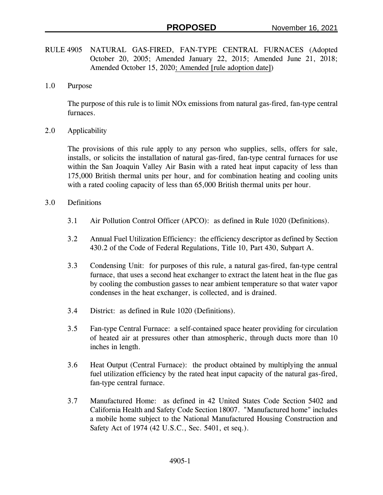- RULE 4905 NATURAL GAS-FIRED, FAN-TYPE CENTRAL FURNACES (Adopted October 20, 2005; Amended January 22, 2015; Amended June 21, 2018; Amended October 15, 2020; Amended [rule adoption date])
- 1.0 Purpose

The purpose of this rule is to limit NOx emissions from natural gas-fired, fan-type central furnaces.

2.0 Applicability

The provisions of this rule apply to any person who supplies, sells, offers for sale, installs, or solicits the installation of natural gas-fired, fan-type central furnaces for use within the San Joaquin Valley Air Basin with a rated heat input capacity of less than 175,000 British thermal units per hour, and for combination heating and cooling units with a rated cooling capacity of less than 65,000 British thermal units per hour.

- 3.0 Definitions
	- 3.1 Air Pollution Control Officer (APCO): as defined in Rule 1020 (Definitions).
	- 3.2 Annual Fuel Utilization Efficiency: the efficiency descriptor as defined by Section 430.2 of the Code of Federal Regulations, Title 10, Part 430, Subpart A.
	- 3.3 Condensing Unit: for purposes of this rule, a natural gas-fired, fan-type central furnace, that uses a second heat exchanger to extract the latent heat in the flue gas by cooling the combustion gasses to near ambient temperature so that water vapor condenses in the heat exchanger, is collected, and is drained.
	- 3.4 District: as defined in Rule 1020 (Definitions).
	- 3.5 Fan-type Central Furnace: a self-contained space heater providing for circulation of heated air at pressures other than atmospheric, through ducts more than 10 inches in length.
	- 3.6 Heat Output (Central Furnace): the product obtained by multiplying the annual fuel utilization efficiency by the rated heat input capacity of the natural gas-fired, fan-type central furnace.
	- 3.7 Manufactured Home: as defined in 42 United States Code Section 5402 and California Health and Safety Code Section 18007. "Manufactured home" includes a mobile home subject to the National Manufactured Housing Construction and Safety Act of 1974 (42 U.S.C., Sec. 5401, et seq.).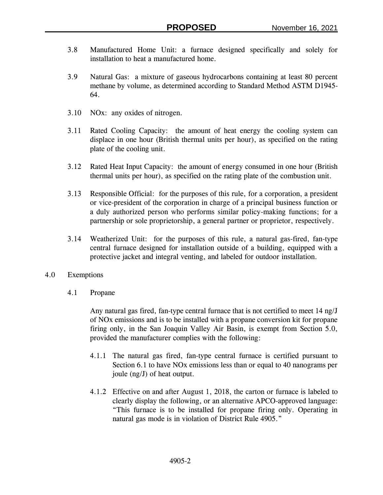- 3.8 Manufactured Home Unit: a furnace designed specifically and solely for installation to heat a manufactured home.
- 3.9 Natural Gas: a mixture of gaseous hydrocarbons containing at least 80 percent methane by volume, as determined according to Standard Method ASTM D1945- 64.
- 3.10 NOx: any oxides of nitrogen.
- 3.11 Rated Cooling Capacity: the amount of heat energy the cooling system can displace in one hour (British thermal units per hour), as specified on the rating plate of the cooling unit.
- 3.12 Rated Heat Input Capacity: the amount of energy consumed in one hour (British thermal units per hour), as specified on the rating plate of the combustion unit.
- 3.13 Responsible Official: for the purposes of this rule, for a corporation, a president or vice-president of the corporation in charge of a principal business function or a duly authorized person who performs similar policy-making functions; for a partnership or sole proprietorship, a general partner or proprietor, respectively.
- 3.14 Weatherized Unit: for the purposes of this rule, a natural gas-fired, fan-type central furnace designed for installation outside of a building, equipped with a protective jacket and integral venting, and labeled for outdoor installation.
- 4.0 Exemptions
	- 4.1 Propane

Any natural gas fired, fan-type central furnace that is not certified to meet 14 ng/J of NOx emissions and is to be installed with a propane conversion kit for propane firing only, in the San Joaquin Valley Air Basin, is exempt from Section 5.0, provided the manufacturer complies with the following:

- 4.1.1 The natural gas fired, fan-type central furnace is certified pursuant to Section 6.1 to have NOx emissions less than or equal to 40 nanograms per joule (ng/J) of heat output.
- 4.1.2 Effective on and after August 1, 2018, the carton or furnace is labeled to clearly display the following, or an alternative APCO-approved language: "This furnace is to be installed for propane firing only. Operating in natural gas mode is in violation of District Rule 4905."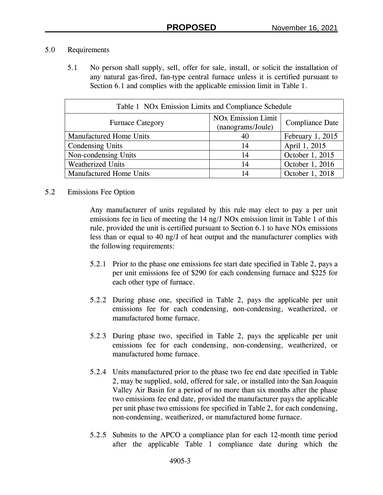### 5.0 Requirements

5.1 No person shall supply, sell, offer for sale, install, or solicit the installation of any natural gas-fired, fan-type central furnace unless it is certified pursuant to Section 6.1 and complies with the applicable emission limit in Table 1.

| Table 1 NOx Emission Limits and Compliance Schedule |                                                           |                  |  |  |  |  |  |
|-----------------------------------------------------|-----------------------------------------------------------|------------------|--|--|--|--|--|
| <b>Furnace Category</b>                             | <b>NO<sub>x</sub></b> Emission Limit<br>(nanograms/Joule) | Compliance Date  |  |  |  |  |  |
| Manufactured Home Units                             | 40                                                        | February 1, 2015 |  |  |  |  |  |
| Condensing Units                                    | 14                                                        | April 1, 2015    |  |  |  |  |  |
| Non-condensing Units                                | 14                                                        | October 1, 2015  |  |  |  |  |  |
| <b>Weatherized Units</b>                            | 14                                                        | October 1, 2016  |  |  |  |  |  |
| Manufactured Home Units                             | 14                                                        | October 1, 2018  |  |  |  |  |  |

### 5.2 Emissions Fee Option

Any manufacturer of units regulated by this rule may elect to pay a per unit emissions fee in lieu of meeting the 14 ng/J NOx emission limit in Table 1 of this rule, provided the unit is certified pursuant to Section 6.1 to have NOx emissions less than or equal to 40 ng/J of heat output and the manufacturer complies with the following requirements:

- 5.2.1 Prior to the phase one emissions fee start date specified in Table 2, pays a per unit emissions fee of \$290 for each condensing furnace and \$225 for each other type of furnace.
- 5.2.2 During phase one, specified in Table 2, pays the applicable per unit emissions fee for each condensing, non-condensing, weatherized, or manufactured home furnace.
- 5.2.3 During phase two, specified in Table 2, pays the applicable per unit emissions fee for each condensing, non-condensing, weatherized, or manufactured home furnace.
- 5.2.4 Units manufactured prior to the phase two fee end date specified in Table 2, may be supplied, sold, offered for sale, or installed into the San Joaquin Valley Air Basin for a period of no more than six months after the phase two emissions fee end date, provided the manufacturer pays the applicable per unit phase two emissions fee specified in Table 2, for each condensing, non-condensing, weatherized, or manufactured home furnace.
- 5.2.5 Submits to the APCO a compliance plan for each 12-month time period after the applicable Table 1 compliance date during which the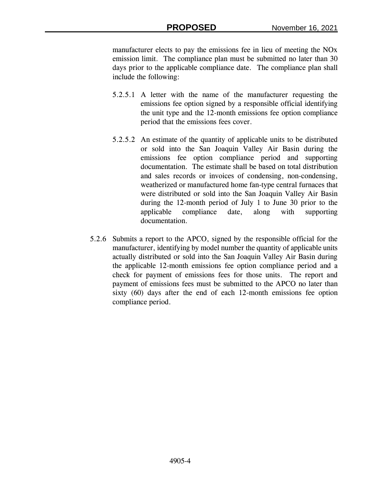manufacturer elects to pay the emissions fee in lieu of meeting the NOx emission limit. The compliance plan must be submitted no later than 30 days prior to the applicable compliance date. The compliance plan shall include the following:

- 5.2.5.1 A letter with the name of the manufacturer requesting the emissions fee option signed by a responsible official identifying the unit type and the 12-month emissions fee option compliance period that the emissions fees cover.
- 5.2.5.2 An estimate of the quantity of applicable units to be distributed or sold into the San Joaquin Valley Air Basin during the emissions fee option compliance period and supporting documentation. The estimate shall be based on total distribution and sales records or invoices of condensing, non-condensing, weatherized or manufactured home fan-type central furnaces that were distributed or sold into the San Joaquin Valley Air Basin during the 12-month period of July 1 to June 30 prior to the applicable compliance date, along with supporting documentation.
- 5.2.6 Submits a report to the APCO, signed by the responsible official for the manufacturer, identifying by model number the quantity of applicable units actually distributed or sold into the San Joaquin Valley Air Basin during the applicable 12-month emissions fee option compliance period and a check for payment of emissions fees for those units. The report and payment of emissions fees must be submitted to the APCO no later than sixty (60) days after the end of each 12-month emissions fee option compliance period.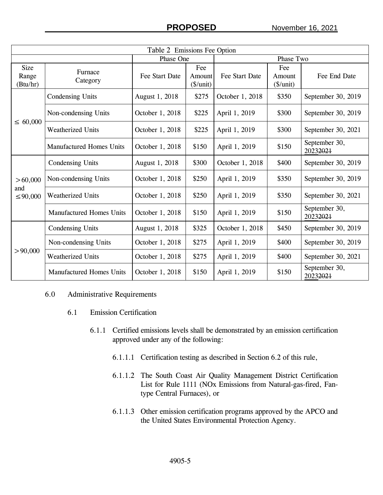| Table 2 Emissions Fee Option     |                                 |                 |                                           |                 |                                    |                           |  |  |
|----------------------------------|---------------------------------|-----------------|-------------------------------------------|-----------------|------------------------------------|---------------------------|--|--|
|                                  |                                 | Phase One       |                                           | Phase Two       |                                    |                           |  |  |
| <b>Size</b><br>Range<br>(Btu/hr) | Furnace<br>Category             | Fee Start Date  | Fee<br>Amount<br>$(\frac{\sqrt{3}}{\pi})$ | Fee Start Date  | Fee<br>Amount<br>$(\frac{\pi}{2})$ | Fee End Date              |  |  |
| $\leq 60,000$                    | <b>Condensing Units</b>         | August 1, 2018  | \$275                                     | October 1, 2018 | \$350                              | September 30, 2019        |  |  |
|                                  | Non-condensing Units            | October 1, 2018 | \$225                                     | April 1, 2019   | \$300                              | September 30, 2019        |  |  |
|                                  | <b>Weatherized Units</b>        | October 1, 2018 | \$225                                     | April 1, 2019   | \$300                              | September 30, 2021        |  |  |
|                                  | <b>Manufactured Homes Units</b> | October 1, 2018 | \$150                                     | April 1, 2019   | \$150                              | September 30,<br>20232021 |  |  |
| > 60,000<br>and<br>$\leq 90,000$ | Condensing Units                | August 1, 2018  | \$300                                     | October 1, 2018 | \$400                              | September 30, 2019        |  |  |
|                                  | Non-condensing Units            | October 1, 2018 | \$250                                     | April 1, 2019   | \$350                              | September 30, 2019        |  |  |
|                                  | <b>Weatherized Units</b>        | October 1, 2018 | \$250                                     | April 1, 2019   | \$350                              | September 30, 2021        |  |  |
|                                  | <b>Manufactured Homes Units</b> | October 1, 2018 | \$150                                     | April 1, 2019   | \$150                              | September 30,<br>20232021 |  |  |
| > 90,000                         | <b>Condensing Units</b>         | August 1, 2018  | \$325                                     | October 1, 2018 | \$450                              | September 30, 2019        |  |  |
|                                  | Non-condensing Units            | October 1, 2018 | \$275                                     | April 1, 2019   | \$400                              | September 30, 2019        |  |  |
|                                  | <b>Weatherized Units</b>        | October 1, 2018 | \$275                                     | April 1, 2019   | \$400                              | September 30, 2021        |  |  |
|                                  | <b>Manufactured Homes Units</b> | October 1, 2018 | \$150                                     | April 1, 2019   | \$150                              | September 30,<br>20232021 |  |  |

#### 6.0 Administrative Requirements

- 6.1 Emission Certification
	- 6.1.1 Certified emissions levels shall be demonstrated by an emission certification approved under any of the following:
		- 6.1.1.1 Certification testing as described in Section 6.2 of this rule,
		- 6.1.1.2 The South Coast Air Quality Management District Certification List for Rule 1111 (NOx Emissions from Natural-gas-fired, Fantype Central Furnaces), or
		- 6.1.1.3 Other emission certification programs approved by the APCO and the United States Environmental Protection Agency.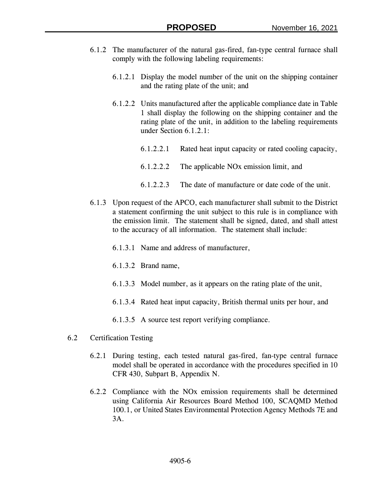- 6.1.2 The manufacturer of the natural gas-fired, fan-type central furnace shall comply with the following labeling requirements:
	- 6.1.2.1 Display the model number of the unit on the shipping container and the rating plate of the unit; and
	- 6.1.2.2 Units manufactured after the applicable compliance date in Table 1 shall display the following on the shipping container and the rating plate of the unit, in addition to the labeling requirements under Section 6.1.2.1:
		- 6.1.2.2.1 Rated heat input capacity or rated cooling capacity,
		- 6.1.2.2.2 The applicable NOx emission limit, and
		- 6.1.2.2.3 The date of manufacture or date code of the unit.
- 6.1.3 Upon request of the APCO, each manufacturer shall submit to the District a statement confirming the unit subject to this rule is in compliance with the emission limit. The statement shall be signed, dated, and shall attest to the accuracy of all information. The statement shall include:
	- 6.1.3.1 Name and address of manufacturer,
	- 6.1.3.2 Brand name,
	- 6.1.3.3 Model number, as it appears on the rating plate of the unit,
	- 6.1.3.4 Rated heat input capacity, British thermal units per hour, and
	- 6.1.3.5 A source test report verifying compliance.
- 6.2 Certification Testing
	- 6.2.1 During testing, each tested natural gas-fired, fan-type central furnace model shall be operated in accordance with the procedures specified in 10 CFR 430, Subpart B, Appendix N.
	- 6.2.2 Compliance with the NOx emission requirements shall be determined using California Air Resources Board Method 100, SCAQMD Method 100.1, or United States Environmental Protection Agency Methods 7E and 3A.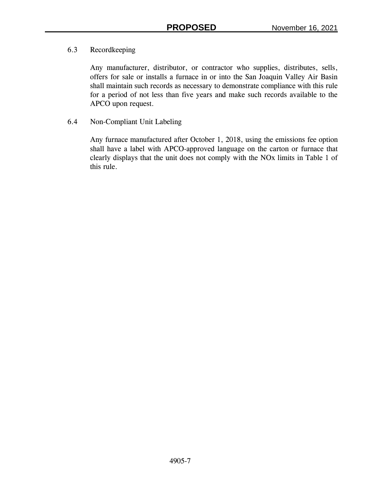# 6.3 Recordkeeping

Any manufacturer, distributor, or contractor who supplies, distributes, sells, offers for sale or installs a furnace in or into the San Joaquin Valley Air Basin shall maintain such records as necessary to demonstrate compliance with this rule for a period of not less than five years and make such records available to the APCO upon request.

# 6.4 Non-Compliant Unit Labeling

Any furnace manufactured after October 1, 2018, using the emissions fee option shall have a label with APCO-approved language on the carton or furnace that clearly displays that the unit does not comply with the NOx limits in Table 1 of this rule.